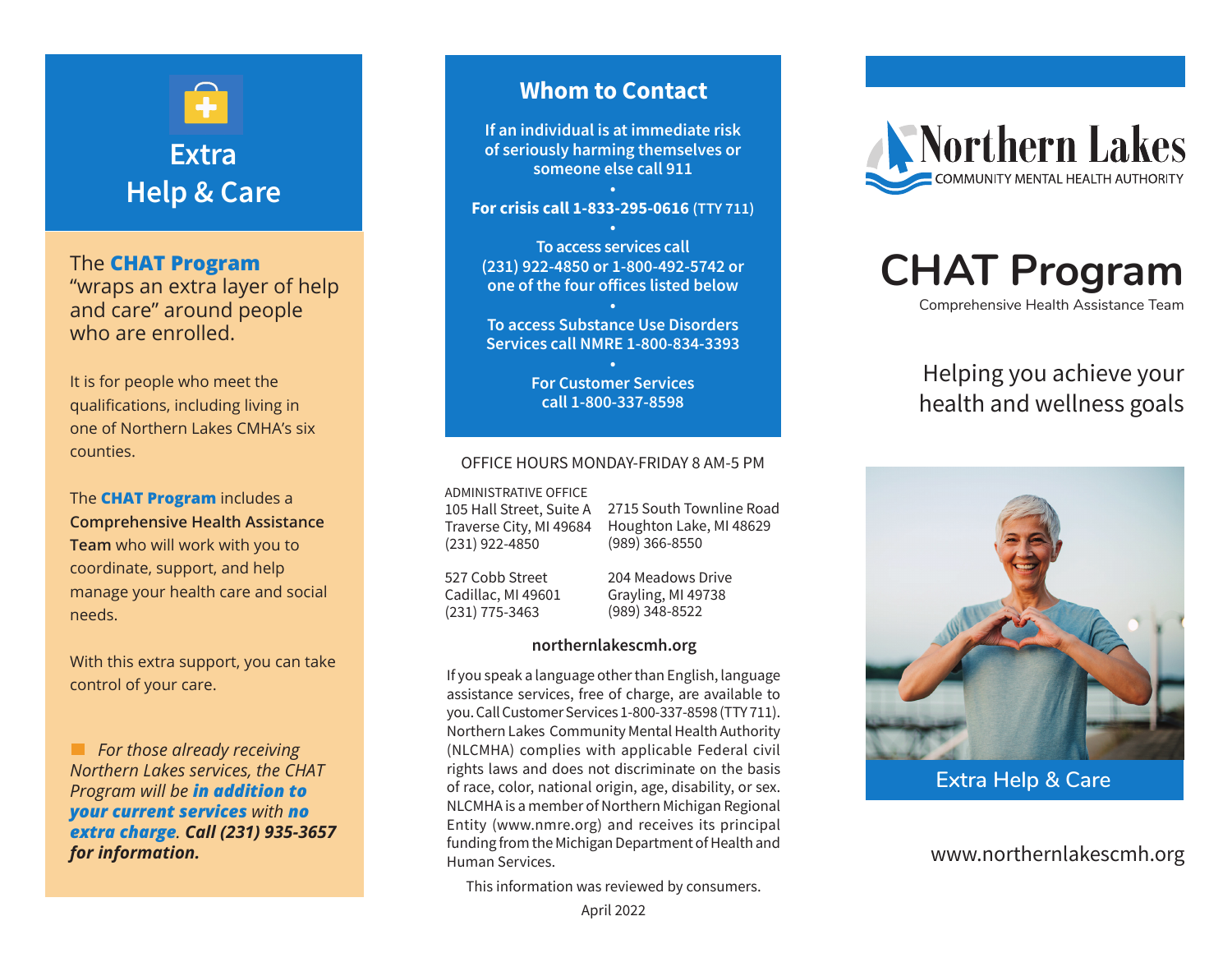# **Extra Help & Care**

The **CHAT Program** "wraps an extra layer of help

and care" around people who are enrolled.

It is for people who meet the qualifications, including living in one of Northern Lakes CMHA's six counties.

The **CHAT Program** includes a **Comprehensive Health Assistance Team** who will work with you to coordinate, support, and help manage your health care and social needs.

With this extra support, you can take control of your care.

*For those already receiving Northern Lakes services, the CHAT Program will be in addition to your current services with no extra charge. Call (231) 935-3657 for information.*

### **Whom to Contact**

**If an individual is at immediate risk of seriously harming themselves or someone else call 911 •**

**For crisis call 1-833-295-0616 (TTY 711)**

**• To access services call (231) 922-4850 or 1-800-492-5742 or one of the four offices listed below**

**• To access Substance Use Disorders Services call NMRE 1-800-834-3393**

> **• For Customer Services call 1-800-337-8598**

#### OFFICE HOURS MONDAY-FRIDAY 8 AM-5 PM

ADMINISTRATIVE OFFICE 105 Hall Street, Suite A Traverse City, MI 49684

2715 South Townline Road Houghton Lake, MI 48629 (989) 366-8550

527 Cobb Street Cadillac, MI 49601 (231) 775-3463

(231) 922-4850

204 Meadows Drive Grayling, MI 49738 (989) 348-8522

#### **northernlakescmh.org**

If you speak a language other than English, language assistance services, free of charge, are available to you. Call Customer Services 1-800-337-8598 (TTY 711). Northern Lakes Community Mental Health Authority (NLCMHA) complies with applicable Federal civil rights laws and does not discriminate on the basis of race, color, national origin, age, disability, or sex. NLCMHA is a member of Northern Michigan Regional Entity (www.nmre.org) and receives its principal funding from the Michigan Department of Health and Human Services.

This information was reviewed by consumers.



# **CHAT Program**

Comprehensive Health Assistance Team

# Helping you achieve your health and wellness goals



**Extra Help & Care**

www.northernlakescmh.org